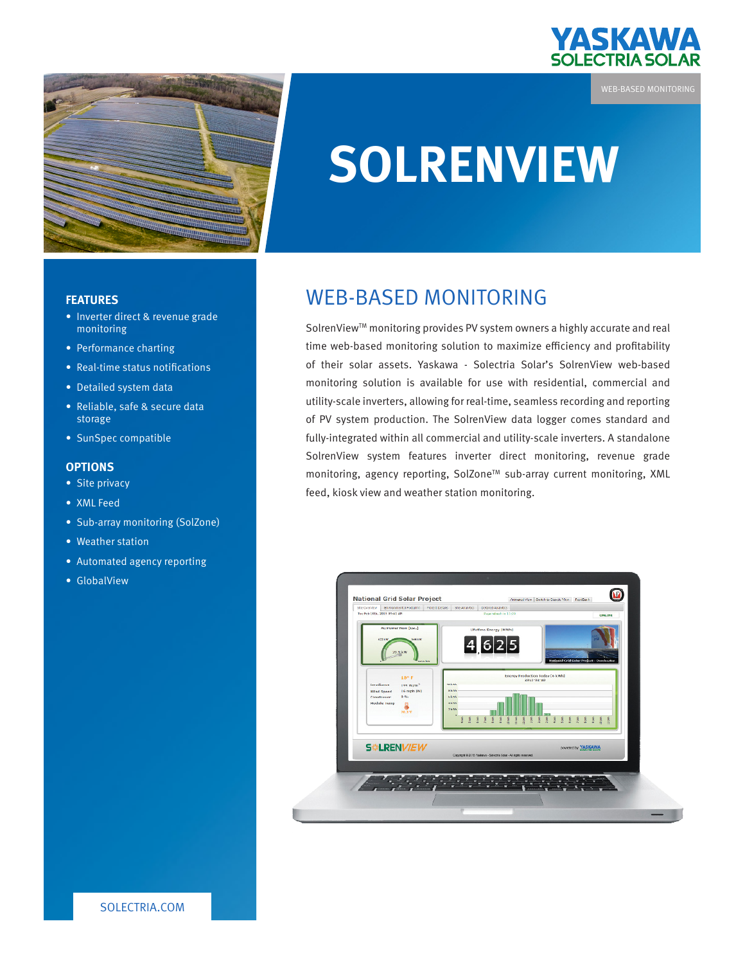

WEB-BASED MONITORING



# **SOLRENVIEW**

#### **FEATURES**

- Inverter direct & revenue grade monitoring
- Performance charting
- Real-time status notifications
- Detailed system data
- Reliable, safe & secure data storage
- SunSpec compatible

#### **OPTIONS**

- Site privacy
- XML Feed
- Sub-array monitoring (SolZone)
- Weather station
- Automated agency reporting
- GlobalView

## WEB-BASED MONITORING

SolrenView™ monitoring provides PV system owners a highly accurate and real time web-based monitoring solution to maximize efficiency and profitability of their solar assets. Yaskawa - Solectria Solar's SolrenView web-based monitoring solution is available for use with residential, commercial and utility-scale inverters, allowing for real-time, seamless recording and reporting of PV system production. The SolrenView data logger comes standard and fully-integrated within all commercial and utility-scale inverters. A standalone SolrenView system features inverter direct monitoring, revenue grade monitoring, agency reporting, SolZone<sup>™</sup> sub-array current monitoring, XML feed, kiosk view and weather station monitoring.



SOLECTRIA.COM